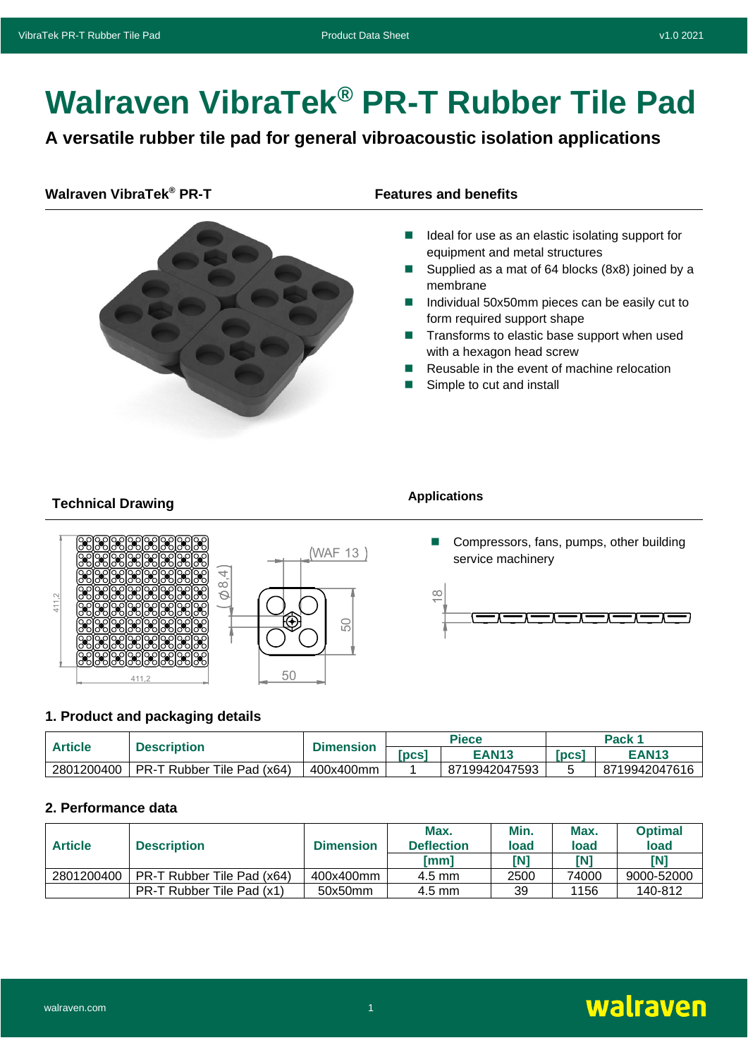# **Walraven VibraTek® PR-T Rubber Tile Pad**

**A versatile rubber tile pad for general vibroacoustic isolation applications**

#### **Walraven VibraTek<sup>®</sup> PR-T <b>Features** and benefits



- Ideal for use as an elastic isolating support for equipment and metal structures
- ◼ Supplied as a mat of 64 blocks (8x8) joined by a membrane
- Individual 50x50mm pieces can be easily cut to form required support shape
- Transforms to elastic base support when used with a hexagon head screw
- Reusable in the event of machine relocation
- Simple to cut and install

## **Technical Drawing Applications**

411 2



■ Compressors, fans, pumps, other building service machinery



#### **1. Product and packaging details**

4

 $\overline{a}$ 

∞

4

50

| Article    | <b>Description</b>         | <b>Dimension</b> | <b>Piece</b> |               | Pack 1     |               |
|------------|----------------------------|------------------|--------------|---------------|------------|---------------|
|            |                            |                  | <b>DCS</b>   | EAN13         | <b>DCS</b> | <b>EAN13</b>  |
| 2801200400 | PR-T Rubber Tile Pad (x64) | 400x400mm        |              | 8719942047593 |            | 8719942047616 |

50

(WAF 13)

#### **2. Performance data**

| <b>Article</b> | <b>Description</b>         | <b>Dimension</b> | Max.<br><b>Deflection</b> | Min.<br>load | Max.<br>load | <b>Optimal</b><br>load |
|----------------|----------------------------|------------------|---------------------------|--------------|--------------|------------------------|
|                |                            |                  | [mm]                      | [N]          | ſΝ.          | [N]                    |
| 2801200400     | PR-T Rubber Tile Pad (x64) | 400x400mm        | $4.5 \text{ mm}$          | 2500         | 74000        | 9000-52000             |
|                | PR-T Rubber Tile Pad (x1)  | 50x50mm          | $4.5 \text{ mm}$          | 39           | 1156         | 140-812                |